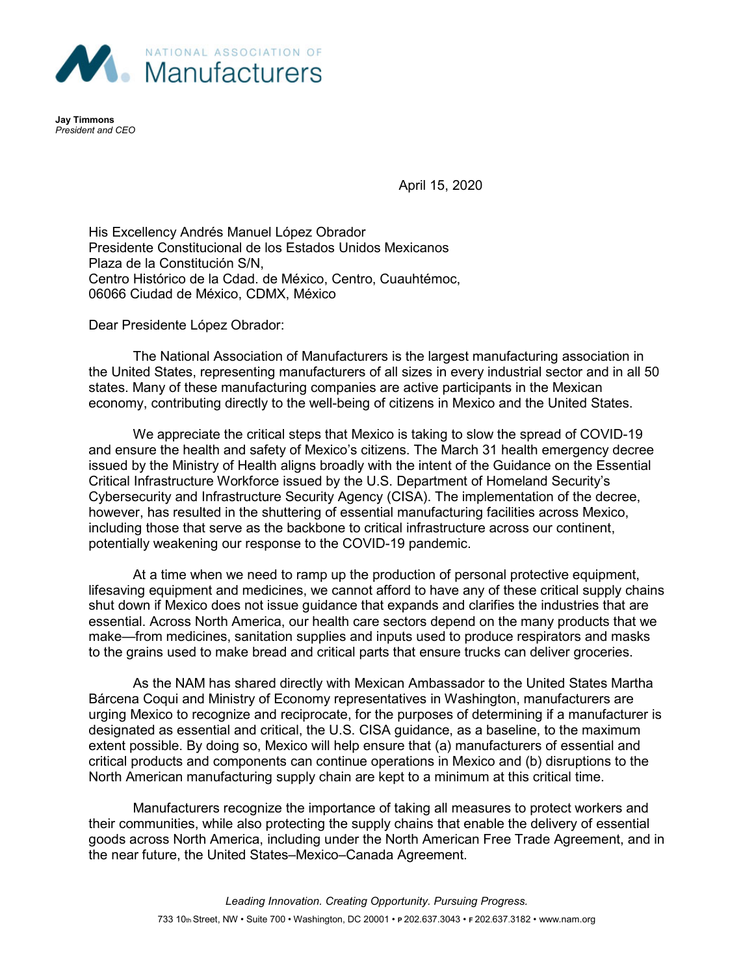

**Jay Timmons** *President and CEO*

April 15, 2020

His Excellency Andrés Manuel López Obrador Presidente Constitucional de los Estados Unidos Mexicanos Plaza de la Constitución S/N, Centro Histórico de la Cdad. de México, Centro, Cuauhtémoc, 06066 Ciudad de México, CDMX, México

Dear Presidente López Obrador:

The National Association of Manufacturers is the largest manufacturing association in the United States, representing manufacturers of all sizes in every industrial sector and in all 50 states. Many of these manufacturing companies are active participants in the Mexican economy, contributing directly to the well-being of citizens in Mexico and the United States.

We appreciate the critical steps that Mexico is taking to slow the spread of COVID-19 and ensure the health and safety of Mexico's citizens. The March 31 health emergency decree issued by the Ministry of Health aligns broadly with the intent of the Guidance on the Essential Critical Infrastructure Workforce issued by the U.S. Department of Homeland Security's Cybersecurity and Infrastructure Security Agency (CISA). The implementation of the decree, however, has resulted in the shuttering of essential manufacturing facilities across Mexico, including those that serve as the backbone to critical infrastructure across our continent, potentially weakening our response to the COVID-19 pandemic.

At a time when we need to ramp up the production of personal protective equipment, lifesaving equipment and medicines, we cannot afford to have any of these critical supply chains shut down if Mexico does not issue guidance that expands and clarifies the industries that are essential. Across North America, our health care sectors depend on the many products that we make—from medicines, sanitation supplies and inputs used to produce respirators and masks to the grains used to make bread and critical parts that ensure trucks can deliver groceries.

As the NAM has shared directly with Mexican Ambassador to the United States Martha Bárcena Coqui and Ministry of Economy representatives in Washington, manufacturers are urging Mexico to recognize and reciprocate, for the purposes of determining if a manufacturer is designated as essential and critical, the U.S. CISA guidance, as a baseline, to the maximum extent possible. By doing so, Mexico will help ensure that (a) manufacturers of essential and critical products and components can continue operations in Mexico and (b) disruptions to the North American manufacturing supply chain are kept to a minimum at this critical time.

Manufacturers recognize the importance of taking all measures to protect workers and their communities, while also protecting the supply chains that enable the delivery of essential goods across North America, including under the North American Free Trade Agreement, and in the near future, the United States–Mexico–Canada Agreement.